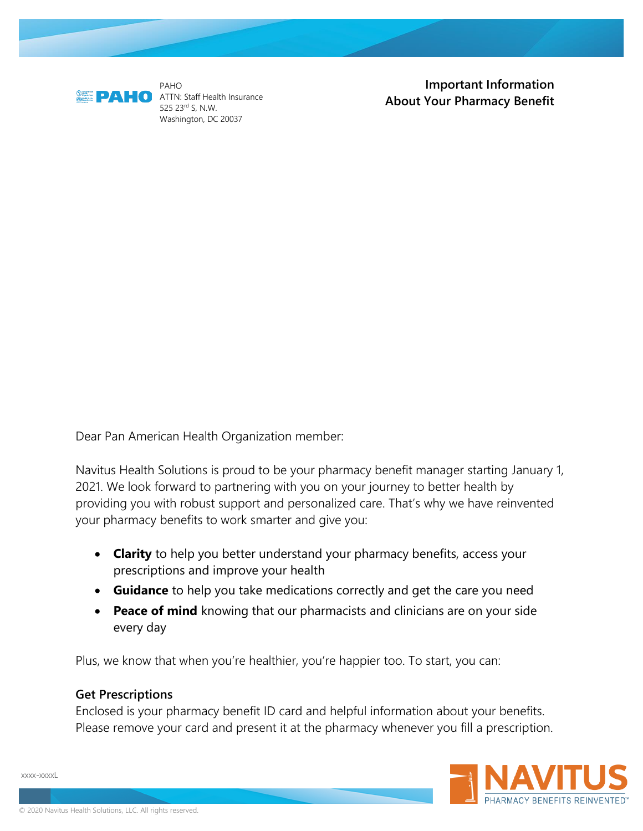

PAHO **C** ATTN: Staff Health Insurance 525 23rd S, N.W. Washington, DC 20037

**Important Information About Your Pharmacy Benefit**

Dear Pan American Health Organization member:

Navitus Health Solutions is proud to be your pharmacy benefit manager starting January 1, 2021. We look forward to partnering with you on your journey to better health by providing you with robust support and personalized care. That's why we have reinvented your pharmacy benefits to work smarter and give you:

- **Clarity** to help you better understand your pharmacy benefits, access your prescriptions and improve your health
- **Guidance** to help you take medications correctly and get the care you need
- **Peace of mind** knowing that our pharmacists and clinicians are on your side every day

Plus, we know that when you're healthier, you're happier too. To start, you can:

### **Get Prescriptions**

Enclosed is your pharmacy benefit ID card and helpful information about your benefits. Please remove your card and present it at the pharmacy whenever you fill a prescription.

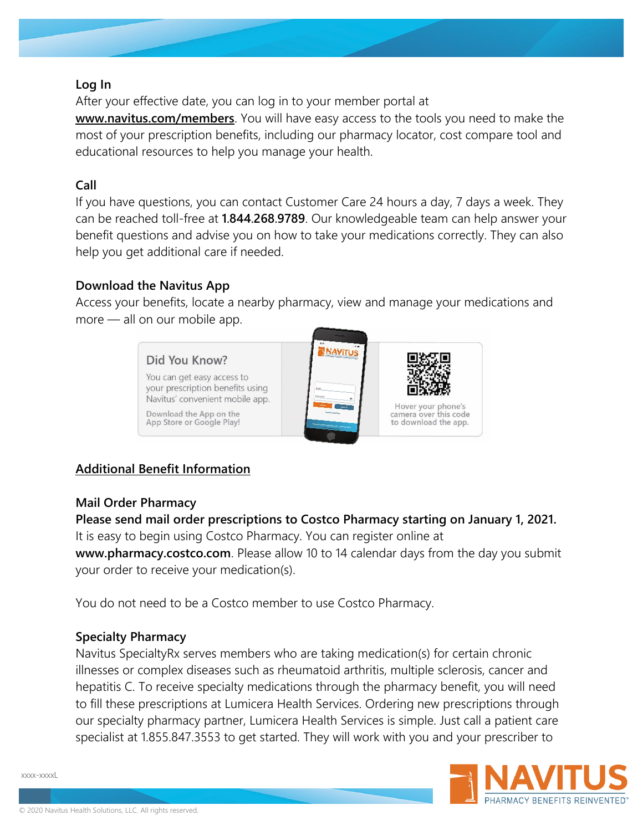### **Log In**

After your effective date, you can log in to your member portal at

**[www.navitus.com/members](http://www.navitus.com/members)**. You will have easy access to the tools you need to make the most of your prescription benefits, including our pharmacy locator, cost compare tool and educational resources to help you manage your health.

## **Call**

If you have questions, you can contact Customer Care 24 hours a day, 7 days a week. They can be reached toll-free at **1.844.268.9789**. Our knowledgeable team can help answer your benefit questions and advise you on how to take your medications correctly. They can also help you get additional care if needed.

## **Download the Navitus App**

Access your benefits, locate a nearby pharmacy, view and manage your medications and more — all on our mobile app.



# **Additional Benefit Information**

## **Mail Order Pharmacy**

**Please send mail order prescriptions to Costco Pharmacy starting on January 1, 2021.**  It is easy to begin using Costco Pharmacy. You can register online at **www.pharmacy.costco.com**. Please allow 10 to 14 calendar days from the day you submit

your order to receive your medication(s).

You do not need to be a Costco member to use Costco Pharmacy.

## **Specialty Pharmacy**

Navitus SpecialtyRx serves members who are taking medication(s) for certain chronic illnesses or complex diseases such as rheumatoid arthritis, multiple sclerosis, cancer and hepatitis C. To receive specialty medications through the pharmacy benefit, you will need to fill these prescriptions at Lumicera Health Services. Ordering new prescriptions through our specialty pharmacy partner, Lumicera Health Services is simple. Just call a patient care specialist at 1.855.847.3553 to get started. They will work with you and your prescriber to